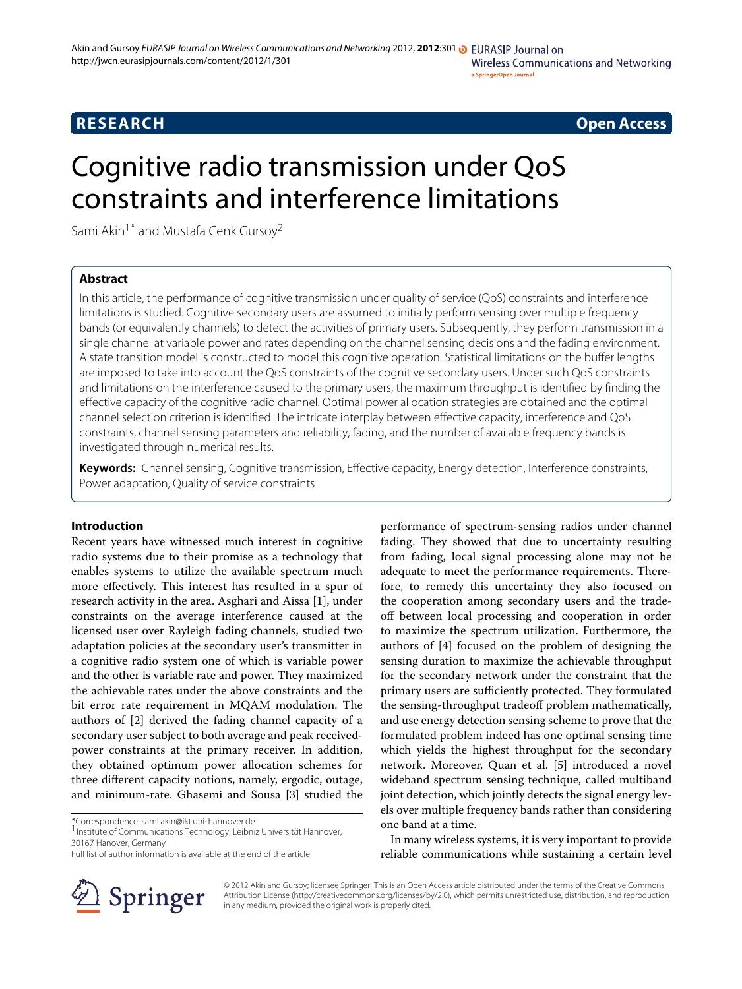## **RESEARCH Open Access**

# Cognitive radio transmission under QoS constraints and interference limitations

Sami Akin<sup>1\*</sup> and Mustafa Cenk Gursov<sup>2</sup>

## **Abstract**

In this article, the performance of cognitive transmission under quality of service (QoS) constraints and interference limitations is studied. Cognitive secondary users are assumed to initially perform sensing over multiple frequency bands (or equivalently channels) to detect the activities of primary users. Subsequently, they perform transmission in a single channel at variable power and rates depending on the channel sensing decisions and the fading environment. A state transition model is constructed to model this cognitive operation. Statistical limitations on the buffer lengths are imposed to take into account the QoS constraints of the cognitive secondary users. Under such QoS constraints and limitations on the interference caused to the primary users, the maximum throughput is identified by finding the effective capacity of the cognitive radio channel. Optimal power allocation strategies are obtained and the optimal channel selection criterion is identified. The intricate interplay between effective capacity, interference and QoS constraints, channel sensing parameters and reliability, fading, and the number of available frequency bands is investigated through numerical results.

**Keywords:** Channel sensing, Cognitive transmission, Effective capacity, Energy detection, Interference constraints, Power adaptation, Quality of service constraints

## **Introduction**

Recent years have witnessed much interest in cognitive radio systems due to their promise as a technology that enables systems to utilize the available spectrum much more effectively. This interest has resulted in a spur of research activity in the area. Asghari and Aissa [\[1\]](#page-14-0), under constraints on the average interference caused at the licensed user over Rayleigh fading channels, studied two adaptation policies at the secondary user's transmitter in a cognitive radio system one of which is variable power and the other is variable rate and power. They maximized the achievable rates under the above constraints and the bit error rate requirement in MQAM modulation. The authors of [\[2\]](#page-14-1) derived the fading channel capacity of a secondary user subject to both average and peak receivedpower constraints at the primary receiver. In addition, they obtained optimum power allocation schemes for three different capacity notions, namely, ergodic, outage, and minimum-rate. Ghasemi and Sousa [\[3\]](#page-14-2) studied the

\*Correspondence: sami.akin@ikt.uni-hannover.de



In many wireless systems, it is very important to provide reliable communications while sustaining a certain level



© 2012 Akin and Gursoy; licensee Springer. This is an Open Access article distributed under the terms of the Creative Commons Attribution License (http://creativecommons.org/licenses/by/2.0), which permits unrestricted use, distribution, and reproduction in any medium, provided the original work is properly cited.

<sup>&</sup>lt;sup>1</sup> Institute of Communications Technology, Leibniz Universität Hannover, 30167 Hanover, Germany

Full list of author information is available at the end of the article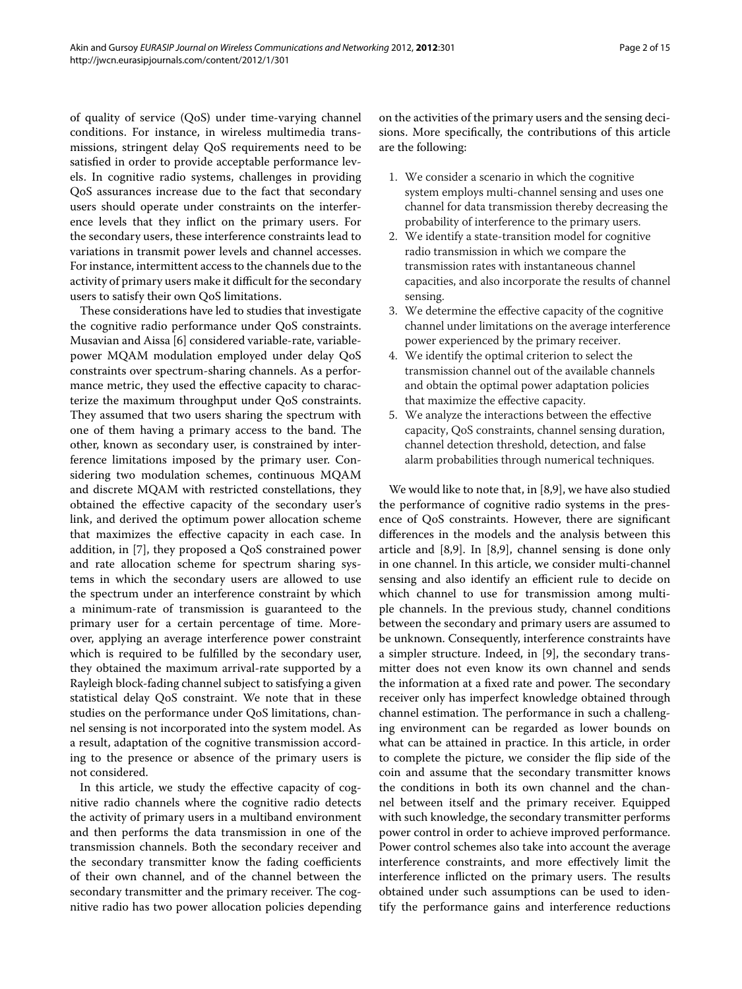of quality of service (QoS) under time-varying channel conditions. For instance, in wireless multimedia transmissions, stringent delay QoS requirements need to be satisfied in order to provide acceptable performance levels. In cognitive radio systems, challenges in providing QoS assurances increase due to the fact that secondary users should operate under constraints on the interference levels that they inflict on the primary users. For the secondary users, these interference constraints lead to variations in transmit power levels and channel accesses. For instance, intermittent access to the channels due to the activity of primary users make it difficult for the secondary users to satisfy their own QoS limitations.

These considerations have led to studies that investigate the cognitive radio performance under QoS constraints. Musavian and Aissa [\[6\]](#page-14-5) considered variable-rate, variablepower MQAM modulation employed under delay QoS constraints over spectrum-sharing channels. As a performance metric, they used the effective capacity to characterize the maximum throughput under QoS constraints. They assumed that two users sharing the spectrum with one of them having a primary access to the band. The other, known as secondary user, is constrained by interference limitations imposed by the primary user. Considering two modulation schemes, continuous MQAM and discrete MQAM with restricted constellations, they obtained the effective capacity of the secondary user's link, and derived the optimum power allocation scheme that maximizes the effective capacity in each case. In addition, in [\[7\]](#page-14-6), they proposed a QoS constrained power and rate allocation scheme for spectrum sharing systems in which the secondary users are allowed to use the spectrum under an interference constraint by which a minimum-rate of transmission is guaranteed to the primary user for a certain percentage of time. Moreover, applying an average interference power constraint which is required to be fulfilled by the secondary user, they obtained the maximum arrival-rate supported by a Rayleigh block-fading channel subject to satisfying a given statistical delay QoS constraint. We note that in these studies on the performance under QoS limitations, channel sensing is not incorporated into the system model. As a result, adaptation of the cognitive transmission according to the presence or absence of the primary users is not considered.

In this article, we study the effective capacity of cognitive radio channels where the cognitive radio detects the activity of primary users in a multiband environment and then performs the data transmission in one of the transmission channels. Both the secondary receiver and the secondary transmitter know the fading coefficients of their own channel, and of the channel between the secondary transmitter and the primary receiver. The cognitive radio has two power allocation policies depending on the activities of the primary users and the sensing decisions. More specifically, the contributions of this article are the following:

- 1. We consider a scenario in which the cognitive system employs multi-channel sensing and uses one channel for data transmission thereby decreasing the probability of interference to the primary users.
- 2. We identify a state-transition model for cognitive radio transmission in which we compare the transmission rates with instantaneous channel capacities, and also incorporate the results of channel sensing.
- 3. We determine the effective capacity of the cognitive channel under limitations on the average interference power experienced by the primary receiver.
- 4. We identify the optimal criterion to select the transmission channel out of the available channels and obtain the optimal power adaptation policies that maximize the effective capacity.
- 5. We analyze the interactions between the effective capacity, QoS constraints, channel sensing duration, channel detection threshold, detection, and false alarm probabilities through numerical techniques.

We would like to note that, in [\[8](#page-14-7)[,9\]](#page-14-8), we have also studied the performance of cognitive radio systems in the presence of QoS constraints. However, there are significant differences in the models and the analysis between this article and [\[8](#page-14-7)[,9\]](#page-14-8). In [\[8,](#page-14-7)[9\]](#page-14-8), channel sensing is done only in one channel. In this article, we consider multi-channel sensing and also identify an efficient rule to decide on which channel to use for transmission among multiple channels. In the previous study, channel conditions between the secondary and primary users are assumed to be unknown. Consequently, interference constraints have a simpler structure. Indeed, in [\[9\]](#page-14-8), the secondary transmitter does not even know its own channel and sends the information at a fixed rate and power. The secondary receiver only has imperfect knowledge obtained through channel estimation. The performance in such a challenging environment can be regarded as lower bounds on what can be attained in practice. In this article, in order to complete the picture, we consider the flip side of the coin and assume that the secondary transmitter knows the conditions in both its own channel and the channel between itself and the primary receiver. Equipped with such knowledge, the secondary transmitter performs power control in order to achieve improved performance. Power control schemes also take into account the average interference constraints, and more effectively limit the interference inflicted on the primary users. The results obtained under such assumptions can be used to identify the performance gains and interference reductions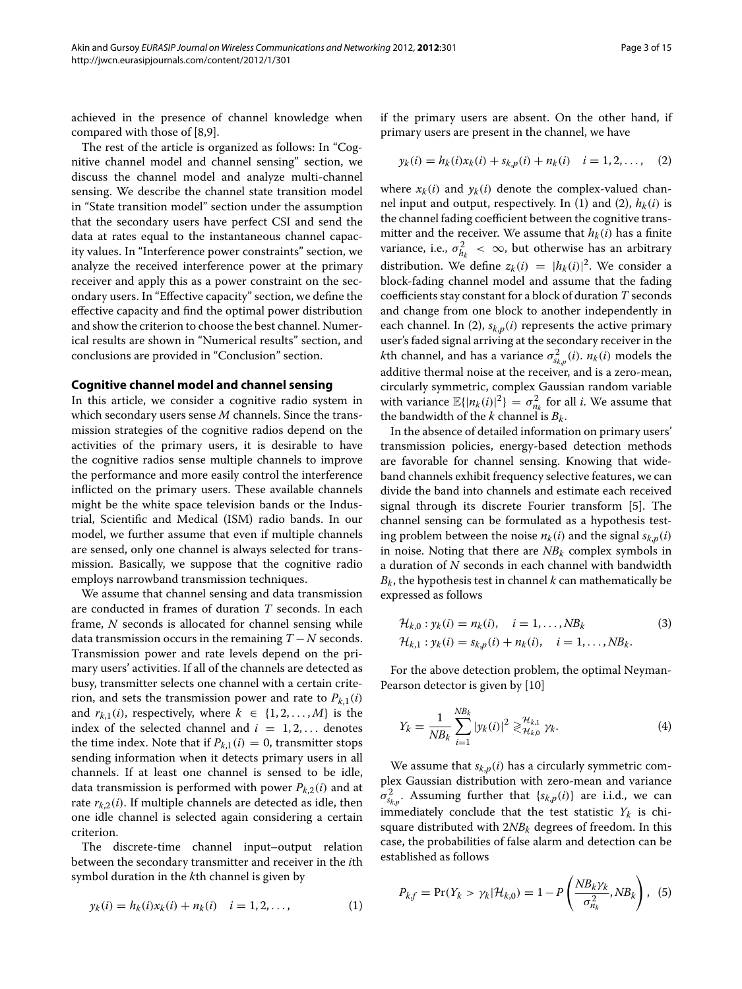achieved in the presence of channel knowledge when compared with those of [\[8,](#page-14-7)[9\]](#page-14-8).

The rest of the article is organized as follows: In ["Cog](#page-2-0)[nitive channel model and channel sensing"](#page-2-0) section, we discuss the channel model and analyze multi-channel sensing. We describe the channel state transition model in ["State transition model"](#page-3-0) section under the assumption that the secondary users have perfect CSI and send the data at rates equal to the instantaneous channel capacity values. In ["Interference power constraints"](#page-5-0) section, we analyze the received interference power at the primary receiver and apply this as a power constraint on the secondary users. In ["Effective capacity"](#page-6-0) section, we define the effective capacity and find the optimal power distribution and show the criterion to choose the best channel. Numerical results are shown in ["Numerical results"](#page-9-0) section, and conclusions are provided in ["Conclusion"](#page-13-0) section.

### **Cognitive channel model and channel sensing**

<span id="page-2-0"></span>In this article, we consider a cognitive radio system in which secondary users sense *M* channels. Since the transmission strategies of the cognitive radios depend on the activities of the primary users, it is desirable to have the cognitive radios sense multiple channels to improve the performance and more easily control the interference inflicted on the primary users. These available channels might be the white space television bands or the Industrial, Scientific and Medical (ISM) radio bands. In our model, we further assume that even if multiple channels are sensed, only one channel is always selected for transmission. Basically, we suppose that the cognitive radio employs narrowband transmission techniques.

We assume that channel sensing and data transmission are conducted in frames of duration *T* seconds. In each frame, *N* seconds is allocated for channel sensing while data transmission occurs in the remaining  $T - N$  seconds. Transmission power and rate levels depend on the primary users' activities. If all of the channels are detected as busy, transmitter selects one channel with a certain criterion, and sets the transmission power and rate to  $P_{k,1}(i)$ and  $r_{k,1}(i)$ , respectively, where  $k \in \{1, 2, ..., M\}$  is the index of the selected channel and  $i = 1, 2, \ldots$  denotes the time index. Note that if  $P_{k,1}(i) = 0$ , transmitter stops sending information when it detects primary users in all channels. If at least one channel is sensed to be idle, data transmission is performed with power  $P_{k,2}(i)$  and at rate  $r_{k,2}(i)$ . If multiple channels are detected as idle, then one idle channel is selected again considering a certain criterion.

The discrete-time channel input–output relation between the secondary transmitter and receiver in the *i*th symbol duration in the *k*th channel is given by

$$
y_k(i) = h_k(i)x_k(i) + n_k(i) \quad i = 1, 2, ..., \tag{1}
$$

if the primary users are absent. On the other hand, if primary users are present in the channel, we have

<span id="page-2-2"></span>
$$
y_k(i) = h_k(i)x_k(i) + s_{k,p}(i) + n_k(i) \quad i = 1, 2, ..., \quad (2)
$$

where  $x_k(i)$  and  $y_k(i)$  denote the complex-valued chan-nel input and output, respectively. In [\(1\)](#page-2-1) and [\(2\)](#page-2-2),  $h_k(i)$  is the channel fading coefficient between the cognitive transmitter and the receiver. We assume that  $h_k(i)$  has a finite variance, i.e.,  $\sigma_{h_k}^2$   $\ < \ \infty$ , but otherwise has an arbitrary distribution. We define  $z_k(i) = |h_k(i)|^2$ . We consider a block-fading channel model and assume that the fading coefficients stay constant for a block of duration *T* seconds and change from one block to another independently in each channel. In [\(2\)](#page-2-2),  $s_{k,p}(i)$  represents the active primary user's faded signal arriving at the secondary receiver in the *k*th channel, and has a variance  $\sigma_{s_{k,p}}^2(i)$ .  $n_k(i)$  models the additive thermal noise at the receiver, and is a zero-mean, circularly symmetric, complex Gaussian random variable with variance  $\mathbb{E}\{|n_k(i)|^2\} = \sigma_{n_k}^2$  for all *i*. We assume that the bandwidth of the  $k$  channel is  $B_k$ .

In the absence of detailed information on primary users' transmission policies, energy-based detection methods are favorable for channel sensing. Knowing that wideband channels exhibit frequency selective features, we can divide the band into channels and estimate each received signal through its discrete Fourier transform [\[5\]](#page-14-4). The channel sensing can be formulated as a hypothesis testing problem between the noise  $n_k(i)$  and the signal  $s_{k,n}(i)$ in noise. Noting that there are  $NB_k$  complex symbols in a duration of *N* seconds in each channel with bandwidth  $B_k$ , the hypothesis test in channel  $k$  can mathematically be expressed as follows

<span id="page-2-3"></span>
$$
\mathcal{H}_{k,0} : y_k(i) = n_k(i), \quad i = 1, ..., NB_k
$$
  
\n
$$
\mathcal{H}_{k,1} : y_k(i) = s_{k,p}(i) + n_k(i), \quad i = 1, ..., NB_k.
$$
\n(3)

For the above detection problem, the optimal Neyman-Pearson detector is given by [\[10\]](#page-14-9)

$$
Y_k = \frac{1}{NB_k} \sum_{i=1}^{NB_k} |y_k(i)|^2 \gtrsim_{\mathcal{H}_{k,0}}^{\mathcal{H}_{k,1}} \gamma_k.
$$
 (4)

We assume that  $s_{k,p}(i)$  has a circularly symmetric complex Gaussian distribution with zero-mean and variance *σ*<sub>*s*<sub>*k*,*p*</sub></sub>. Assuming further that {*s<sub>k,p</sub>*(*i*)} are i.i.d., we can immediately conclude that the test statistic  $Y_k$  is chisquare distributed with  $2NB_k$  degrees of freedom. In this case, the probabilities of false alarm and detection can be established as follows

<span id="page-2-5"></span><span id="page-2-4"></span><span id="page-2-1"></span>
$$
P_{k,f} = \Pr(Y_k > \gamma_k | \mathcal{H}_{k,0}) = 1 - P\left(\frac{N B_k \gamma_k}{\sigma_{n_k}^2}, N B_k\right), \tag{5}
$$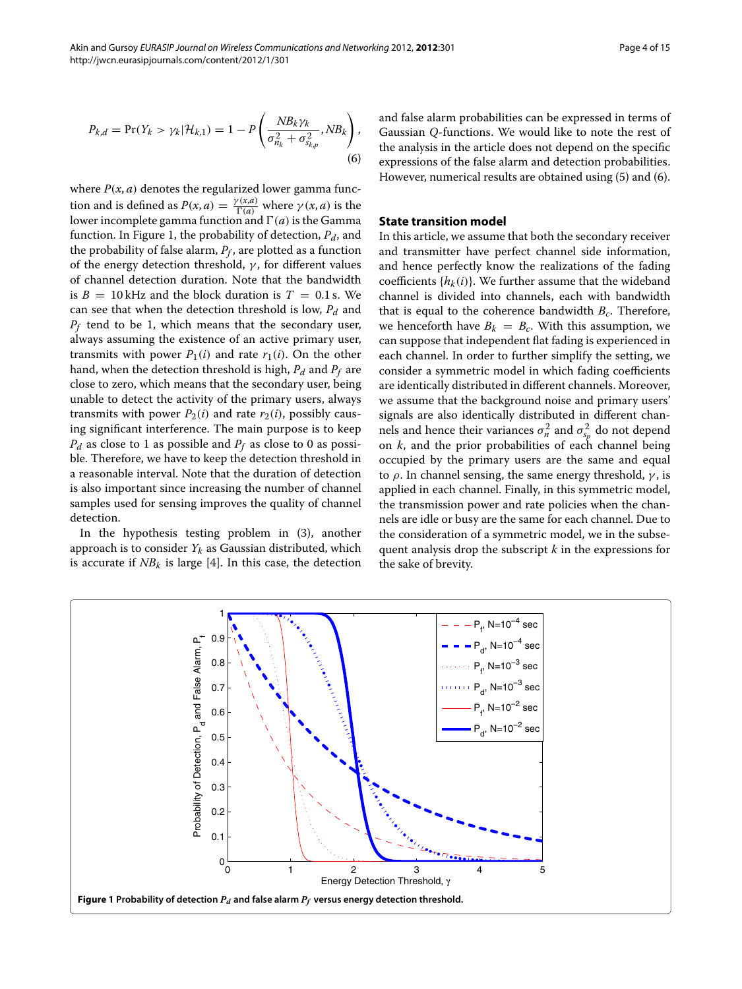$$
P_{k,d} = \Pr(Y_k > \gamma_k | \mathcal{H}_{k,1}) = 1 - P\left(\frac{N B_k \gamma_k}{\sigma_{n_k}^2 + \sigma_{s_{k,p}}^2}, N B_k\right),\tag{6}
$$

where  $P(x, a)$  denotes the regularized lower gamma function and is defined as  $P(x, a) = \frac{\gamma(x, a)}{\Gamma(a)}$  where  $\gamma(x, a)$  is the lower incomplete gamma function and  $\Gamma(a)$  is the Gamma function. In Figure [1,](#page-3-1) the probability of detection,  $P_d$ , and the probability of false alarm,  $P_f$ , are plotted as a function of the energy detection threshold, *γ* , for different values of channel detection duration. Note that the bandwidth is  $B = 10$  kHz and the block duration is  $T = 0.1$  s. We can see that when the detection threshold is low, *Pd* and  $P_f$  tend to be 1, which means that the secondary user, always assuming the existence of an active primary user, transmits with power  $P_1(i)$  and rate  $r_1(i)$ . On the other hand, when the detection threshold is high, *Pd* and *Pf* are close to zero, which means that the secondary user, being unable to detect the activity of the primary users, always transmits with power  $P_2(i)$  and rate  $r_2(i)$ , possibly causing significant interference. The main purpose is to keep *Pd* as close to 1 as possible and *Pf* as close to 0 as possible. Therefore, we have to keep the detection threshold in a reasonable interval. Note that the duration of detection is also important since increasing the number of channel samples used for sensing improves the quality of channel detection.

In the hypothesis testing problem in [\(3\)](#page-2-3), another approach is to consider  $Y_k$  as Gaussian distributed, which is accurate if  $NB_k$  is large [\[4\]](#page-14-3). In this case, the detection

and false alarm probabilities can be expressed in terms of Gaussian *Q*-functions. We would like to note the rest of the analysis in the article does not depend on the specific expressions of the false alarm and detection probabilities. However, numerical results are obtained using [\(5\)](#page-2-4) and [\(6\)](#page-2-5).

## <span id="page-3-0"></span>**State transition model**

In this article, we assume that both the secondary receiver and transmitter have perfect channel side information, and hence perfectly know the realizations of the fading coefficients  $\{h_k(i)\}$ . We further assume that the wideband channel is divided into channels, each with bandwidth that is equal to the coherence bandwidth  $B_c$ . Therefore, we henceforth have  $B_k = B_c$ . With this assumption, we can suppose that independent flat fading is experienced in each channel. In order to further simplify the setting, we consider a symmetric model in which fading coefficients are identically distributed in different channels. Moreover, we assume that the background noise and primary users' signals are also identically distributed in different channels and hence their variances  $\sigma_n^2$  and  $\sigma_{s_p}^2$  do not depend on *k*, and the prior probabilities of each channel being occupied by the primary users are the same and equal to *ρ*. In channel sensing, the same energy threshold, *γ* , is applied in each channel. Finally, in this symmetric model, the transmission power and rate policies when the channels are idle or busy are the same for each channel. Due to the consideration of a symmetric model, we in the subsequent analysis drop the subscript *k* in the expressions for the sake of brevity.

<span id="page-3-1"></span>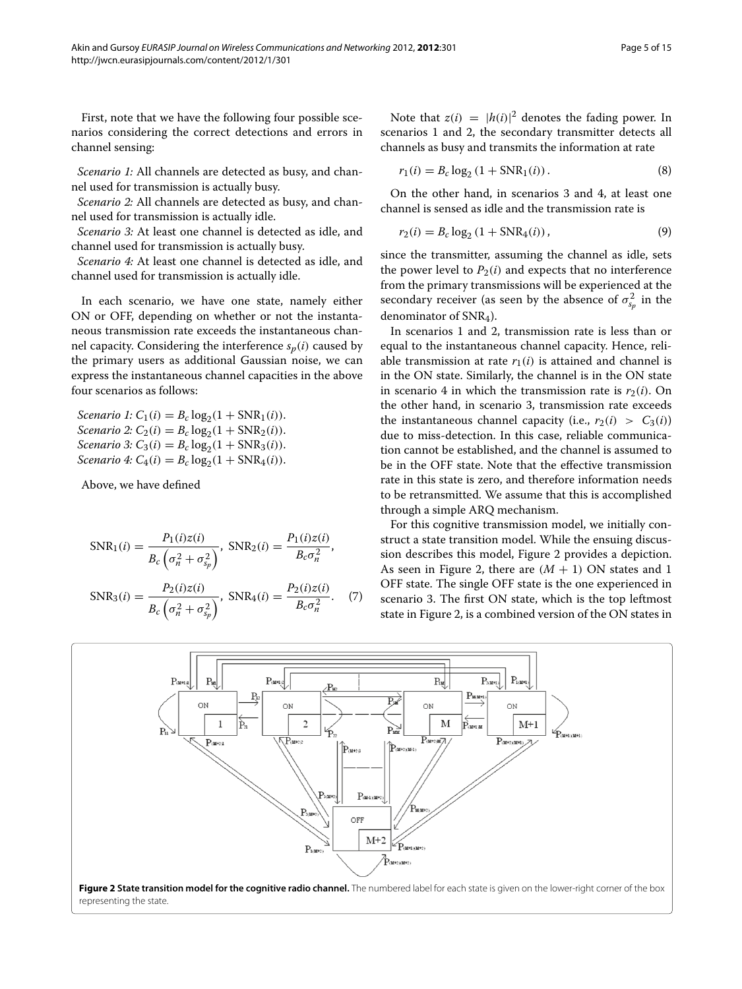First, note that we have the following four possible scenarios considering the correct detections and errors in channel sensing:

*Scenario 1:* All channels are detected as busy, and channel used for transmission is actually busy.

*Scenario 2:* All channels are detected as busy, and channel used for transmission is actually idle.

*Scenario 3:* At least one channel is detected as idle, and channel used for transmission is actually busy.

*Scenario 4:* At least one channel is detected as idle, and channel used for transmission is actually idle.

In each scenario, we have one state, namely either ON or OFF, depending on whether or not the instantaneous transmission rate exceeds the instantaneous channel capacity. Considering the interference  $s_n(i)$  caused by the primary users as additional Gaussian noise, we can express the instantaneous channel capacities in the above four scenarios as follows:

*Scenario 1:*  $C_1(i) = B_c \log_2(1 + SNR_1(i)).$ *Scenario 2:*  $C_2(i) = B_c \log_2(1 + SNR_2(i)).$ *Scenario 3:*  $C_3(i) = B_c \log_2(1 + \text{SNR}_3(i)).$ *Scenario 4:*  $C_4(i) = B_c \log_2(1 + \text{SNR}_4(i)).$ 

Above, we have defined

$$
SNR_1(i) = \frac{P_1(i)z(i)}{B_c(\sigma_n^2 + \sigma_{s_p}^2)}, \text{SNR}_2(i) = \frac{P_1(i)z(i)}{B_c\sigma_n^2},
$$

$$
SNR_3(i) = \frac{P_2(i)z(i)}{B_c(\sigma_n^2 + \sigma_{s_p}^2)}, \text{SNR}_4(i) = \frac{P_2(i)z(i)}{B_c\sigma_n^2}.
$$
 (7)

<span id="page-4-2"></span><span id="page-4-1"></span>

Note that  $z(i) = |h(i)|^2$  denotes the fading power. In scenarios 1 and 2, the secondary transmitter detects all channels as busy and transmits the information at rate

$$
r_1(i) = B_c \log_2 (1 + SNR_1(i)).
$$
 (8)

On the other hand, in scenarios 3 and 4, at least one channel is sensed as idle and the transmission rate is

$$
r_2(i) = B_c \log_2 (1 + SNR_4(i)),
$$
\n(9)

since the transmitter, assuming the channel as idle, sets the power level to  $P_2(i)$  and expects that no interference from the primary transmissions will be experienced at the secondary receiver (as seen by the absence of  $\sigma_{\!sp}^2$  in the denominator of SNR4).

In scenarios 1 and 2, transmission rate is less than or equal to the instantaneous channel capacity. Hence, reliable transmission at rate  $r_1(i)$  is attained and channel is in the ON state. Similarly, the channel is in the ON state in scenario 4 in which the transmission rate is  $r_2(i)$ . On the other hand, in scenario 3, transmission rate exceeds the instantaneous channel capacity (i.e.,  $r_2(i) > C_3(i)$ ) due to miss-detection. In this case, reliable communication cannot be established, and the channel is assumed to be in the OFF state. Note that the effective transmission rate in this state is zero, and therefore information needs to be retransmitted. We assume that this is accomplished through a simple ARQ mechanism.

For this cognitive transmission model, we initially construct a state transition model. While the ensuing discussion describes this model, Figure [2](#page-4-0) provides a depiction. As seen in Figure [2,](#page-4-0) there are  $(M + 1)$  ON states and 1 OFF state. The single OFF state is the one experienced in scenario 3. The first ON state, which is the top leftmost state in Figure [2,](#page-4-0) is a combined version of the ON states in

<span id="page-4-0"></span>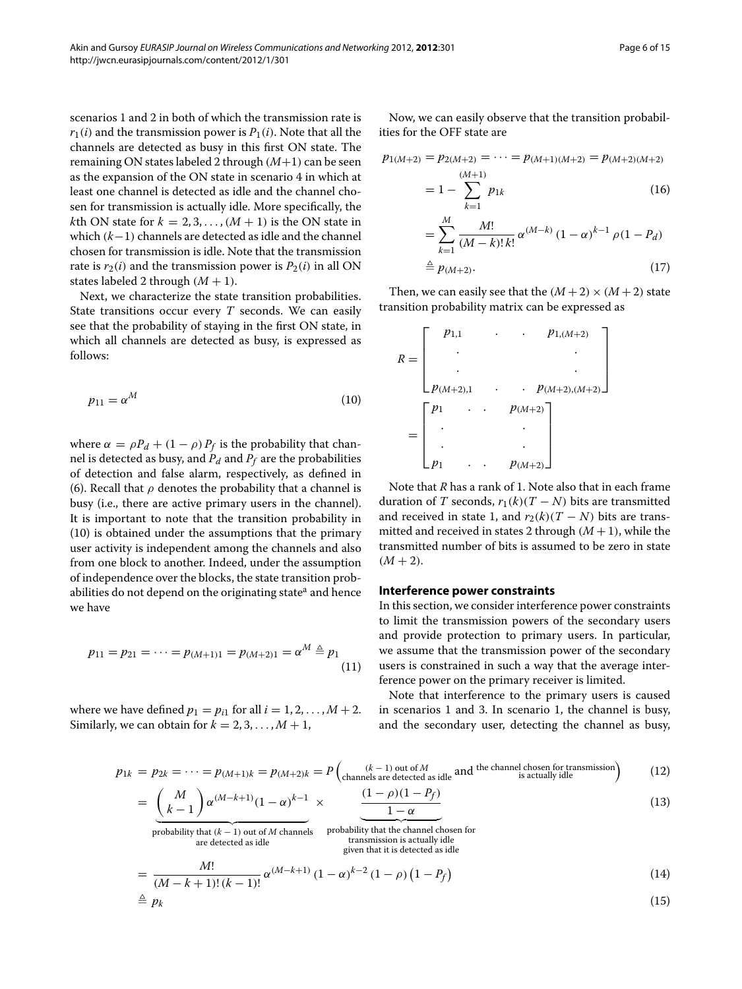scenarios 1 and 2 in both of which the transmission rate is  $r_1(i)$  and the transmission power is  $P_1(i)$ . Note that all the channels are detected as busy in this first ON state. The remaining ON states labeled 2 through *(M*+1*)* can be seen as the expansion of the ON state in scenario 4 in which at least one channel is detected as idle and the channel chosen for transmission is actually idle. More specifically, the *k*th ON state for  $k = 2, 3, \ldots, (M + 1)$  is the ON state in which *(k*−1*)* channels are detected as idle and the channel chosen for transmission is idle. Note that the transmission rate is  $r_2(i)$  and the transmission power is  $P_2(i)$  in all ON states labeled 2 through  $(M + 1)$ .

Next, we characterize the state transition probabilities. State transitions occur every *T* seconds. We can easily see that the probability of staying in the first ON state, in which all channels are detected as busy, is expressed as follows:

<span id="page-5-1"></span>
$$
p_{11} = \alpha^M \tag{10}
$$

where  $\alpha = \rho P_d + (1 - \rho) P_f$  is the probability that channel is detected as busy, and  $P_d$  and  $P_f$  are the probabilities of detection and false alarm, respectively, as defined in [\(6\)](#page-2-5). Recall that *ρ* denotes the probability that a channel is busy (i.e., there are active primary users in the channel). It is important to note that the transition probability in [\(10\)](#page-5-1) is obtained under the assumptions that the primary user activity is independent among the channels and also from one block to another. Indeed, under the assumption of independence over the blocks, the state transition probabilities do not depend on the originating state<sup>a</sup> and hence we have

$$
p_{11} = p_{21} = \dots = p_{(M+1)1} = p_{(M+2)1} = \alpha^M \triangleq p_1
$$
\n(11)

where we have defined  $p_1 = p_{i1}$  for all  $i = 1, 2, \ldots, M + 2$ . Similarly, we can obtain for  $k = 2, 3, \ldots, M + 1$ ,

Now, we can easily observe that the transition probabilities for the OFF state are

$$
p_{1(M+2)} = p_{2(M+2)} = \dots = p_{(M+1)(M+2)} = p_{(M+2)(M+2)}
$$
  
=  $1 - \sum_{k=1}^{(M+1)} p_{1k}$  (16)  
=  $\sum_{k=1}^{M} \frac{M!}{(M-k)!k!} \alpha^{(M-k)} (1-\alpha)^{k-1} \rho (1-P_d)$   
 $\stackrel{\triangle}{=} p_{(M+2)}$ . (17)

Then, we can easily see that the  $(M + 2) \times (M + 2)$  state transition probability matrix can be expressed as

<span id="page-5-4"></span>
$$
R = \begin{bmatrix} p_{1,1} & \cdots & p_{1,(M+2)} \\ \vdots & \vdots & \vdots \\ p_{(M+2),1} & \cdots & p_{(M+2),(M+2)} \end{bmatrix}
$$

$$
= \begin{bmatrix} p_1 & \cdots & p_{(M+2)} \\ \vdots & \vdots & \vdots \\ p_1 & \cdots & p_{(M+2)} \end{bmatrix}
$$

Note that *R* has a rank of 1. Note also that in each frame duration of *T* seconds,  $r_1(k)(T - N)$  bits are transmitted and received in state 1, and  $r_2(k)(T - N)$  bits are transmitted and received in states 2 through  $(M + 1)$ , while the transmitted number of bits is assumed to be zero in state  $(M + 2)$ .

#### <span id="page-5-0"></span>**Interference power constraints**

In this section, we consider interference power constraints to limit the transmission powers of the secondary users and provide protection to primary users. In particular, we assume that the transmission power of the secondary users is constrained in such a way that the average interference power on the primary receiver is limited.

<span id="page-5-3"></span>Note that interference to the primary users is caused in scenarios 1 and 3. In scenario 1, the channel is busy, and the secondary user, detecting the channel as busy,

<span id="page-5-2"></span>
$$
p_{1k} = p_{2k} = \dots = p_{(M+1)k} = p_{(M+2)k} = P \begin{pmatrix} (k-1) \text{ out of } M \\ \text{channels are detected as idle} \end{pmatrix}
$$
 and the channel chosen for transmission is actually idle

$$
= \underbrace{\binom{M}{k-1} \alpha^{(M-k+1)} (1-\alpha)^{k-1}}_{\text{probability that } (k-1) \text{ out of } M \text{ channels}} \times \underbrace{\frac{(1-\rho)(1-P_f)}{1-\alpha}}_{\text{probability that the channel chosen for}}
$$
(13)

 probability that *(k* − 1*)* out of *M* channels are detected as idle

transmission is actually idle given that it is detected as idle

$$
= \frac{M!}{(M-k+1)!(k-1)!} \alpha^{(M-k+1)} (1-\alpha)^{k-2} (1-\rho) (1-P_f)
$$
\n
$$
\triangleq p_k
$$
\n(15)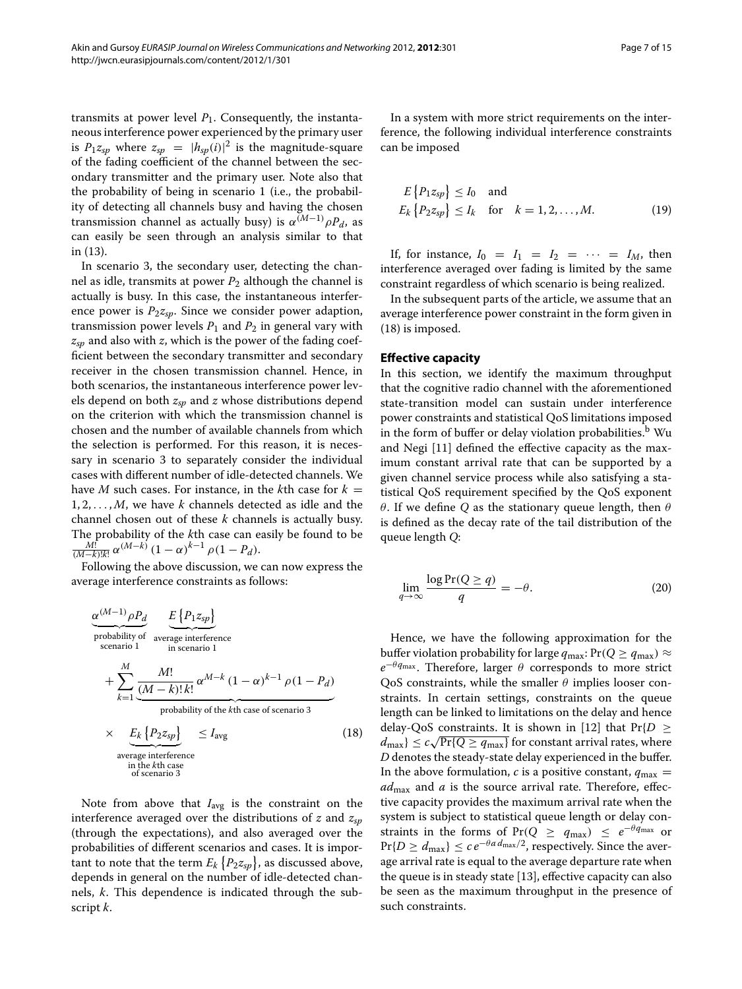transmits at power level  $P_1$ . Consequently, the instantaneous interference power experienced by the primary user is  $P_1z_{sp}$  where  $z_{sp} = |h_{sp}(i)|^2$  is the magnitude-square of the fading coefficient of the channel between the secondary transmitter and the primary user. Note also that the probability of being in scenario 1 (i.e., the probability of detecting all channels busy and having the chosen transmission channel as actually busy) is  $\alpha^{(M-1)}\rho P_d$ , as can easily be seen through an analysis similar to that in [\(13\)](#page-5-2).

In scenario 3, the secondary user, detecting the channel as idle, transmits at power  $P_2$  although the channel is actually is busy. In this case, the instantaneous interference power is *P*2*zsp*. Since we consider power adaption, transmission power levels  $P_1$  and  $P_2$  in general vary with *zsp* and also with *z*, which is the power of the fading coefficient between the secondary transmitter and secondary receiver in the chosen transmission channel. Hence, in both scenarios, the instantaneous interference power levels depend on both *zsp* and *z* whose distributions depend on the criterion with which the transmission channel is chosen and the number of available channels from which the selection is performed. For this reason, it is necessary in scenario 3 to separately consider the individual cases with different number of idle-detected channels. We have *M* such cases. For instance, in the *k*th case for  $k =$ 1, 2, *...* , *M*, we have *k* channels detected as idle and the channel chosen out of these *k* channels is actually busy. The probability of the *k*th case can easily be found to be  $\frac{M!}{(M-k)!k!} \alpha^{(M-k)} (1-\alpha)^{k-1} \rho (1-P_d)$ .

Following the above discussion, we can now express the average interference constraints as follows:

$$
\frac{\alpha^{(M-1)} \rho P_d}{\text{probability of average interference}}
$$
\n
$$
+ \sum_{k=1}^{M} \frac{M!}{(M-k)!k!} \alpha^{M-k} (1-\alpha)^{k-1} \rho (1-P_d)
$$
\n
$$
\times \underbrace{E_k \{P_2 z_{sp}\}}_{\text{probability of the } k \text{th case of scenario 3}}
$$
\n
$$
\times \underbrace{E_k \{P_2 z_{sp}\}}_{\text{average interference}}
$$
\n
$$
\text{in the } k \text{th case of scenario 3}
$$
\n(18)

Note from above that *I*avg is the constraint on the interference averaged over the distributions of *z* and *zsp* (through the expectations), and also averaged over the probabilities of different scenarios and cases. It is important to note that the term  $E_k\left\{P_2 z_{sp}\right\}$ , as discussed above, depends in general on the number of idle-detected channels, *k*. This dependence is indicated through the subscript *k*.

In a system with more strict requirements on the interference, the following individual interference constraints can be imposed

$$
E\left\{P_1 z_{sp}\right\} \le I_0 \quad \text{and}
$$
  

$$
E_k\left\{P_2 z_{sp}\right\} \le I_k \quad \text{for} \quad k = 1, 2, ..., M. \tag{19}
$$

If, for instance,  $I_0 = I_1 = I_2 = \cdots = I_M$ , then interference averaged over fading is limited by the same constraint regardless of which scenario is being realized.

In the subsequent parts of the article, we assume that an average interference power constraint in the form given in [\(18\)](#page-6-1) is imposed.

#### <span id="page-6-0"></span>**Effective capacity**

In this section, we identify the maximum throughput that the cognitive radio channel with the aforementioned state-transition model can sustain under interference power constraints and statistical QoS limitations imposed in the form of buffer or delay violation probabilities.<sup>b</sup> Wu and Negi [\[11\]](#page-14-10) defined the effective capacity as the maximum constant arrival rate that can be supported by a given channel service process while also satisfying a statistical QoS requirement specified by the QoS exponent *θ*. If we define *Q* as the stationary queue length, then *θ* is defined as the decay rate of the tail distribution of the queue length *Q*:

$$
\lim_{q \to \infty} \frac{\log \Pr(Q \ge q)}{q} = -\theta. \tag{20}
$$

<span id="page-6-1"></span>Hence, we have the following approximation for the buffer violation probability for large  $q_{\text{max}}$ : Pr( $Q \geq q_{\text{max}}$ )  $\approx$  $e^{-\theta q_{\text{max}}}$ . Therefore, larger  $\theta$  corresponds to more strict QoS constraints, while the smaller *θ* implies looser constraints. In certain settings, constraints on the queue length can be linked to limitations on the delay and hence delay-QoS constraints. It is shown in [\[12\]](#page-14-11) that  $Pr{D \geq}$  $d_{\text{max}}$ )  $\leq c \sqrt{\Pr\{Q \geq q_{\text{max}}\}}$  for constant arrival rates, where *D* denotes the steady-state delay experienced in the buffer. In the above formulation, *c* is a positive constant,  $q_{\text{max}} =$  $ad<sub>max</sub>$  and  $a$  is the source arrival rate. Therefore, effective capacity provides the maximum arrival rate when the system is subject to statistical queue length or delay constraints in the forms of  $Pr(Q \ge q_{max}) \le e^{-\theta q_{max}}$  or  $Pr{D \ge d_{\text{max}}} \le ce^{-\theta a \, d_{\text{max}}/2}$ , respectively. Since the average arrival rate is equal to the average departure rate when the queue is in steady state [\[13\]](#page-14-12), effective capacity can also be seen as the maximum throughput in the presence of such constraints.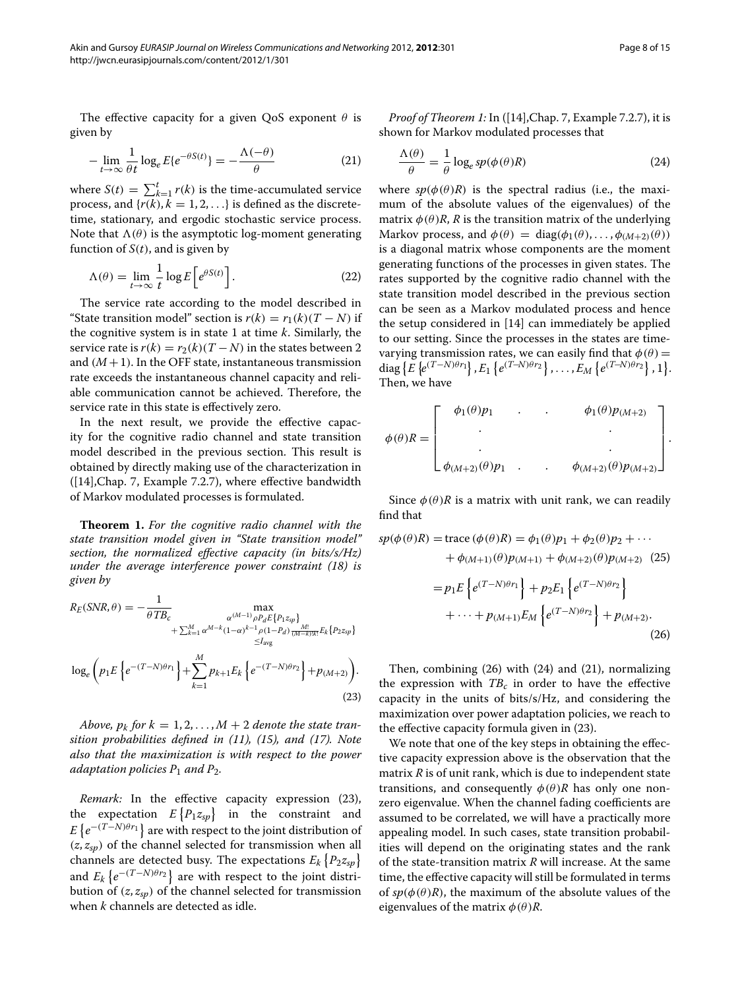The effective capacity for a given QoS exponent *θ* is given by

<span id="page-7-4"></span>
$$
-\lim_{t \to \infty} \frac{1}{\theta t} \log_e E\{e^{-\theta S(t)}\} = -\frac{\Lambda(-\theta)}{\theta}
$$
 (21)

where  $S(t) = \sum_{k=1}^{t} r(k)$  is the time-accumulated service process, and  $\{r(k), k = 1, 2, ...\}$  is defined as the discretetime, stationary, and ergodic stochastic service process. Note that  $\Lambda(\theta)$  is the asymptotic log-moment generating function of  $S(t)$ , and is given by

$$
\Lambda(\theta) = \lim_{t \to \infty} \frac{1}{t} \log E \left[ e^{\theta S(t)} \right].
$$
 (22)

The service rate according to the model described in ["State transition model"](#page-3-0) section is  $r(k) = r_1(k)(T - N)$  if the cognitive system is in state 1 at time *k*. Similarly, the service rate is  $r(k) = r_2(k)(T - N)$  in the states between 2 and  $(M+1)$ . In the OFF state, instantaneous transmission rate exceeds the instantaneous channel capacity and reliable communication cannot be achieved. Therefore, the service rate in this state is effectively zero.

In the next result, we provide the effective capacity for the cognitive radio channel and state transition model described in the previous section. This result is obtained by directly making use of the characterization in ([\[14\]](#page-14-13),Chap. 7, Example 7.2.7), where effective bandwidth of Markov modulated processes is formulated.

<span id="page-7-1"></span>**Theorem 1.** *For the cognitive radio channel with the state transition model given in ["State transition model"](#page-3-0) section, the normalized effective capacity (in bits/s/Hz) under the average interference power constraint [\(18\)](#page-6-1) is given by*

$$
R_E(SNR, \theta) = -\frac{1}{\theta T B_c} \max_{\substack{\alpha^{(M-1)} \rho P_d E \{P_1 z_{sp}\} \\ + \sum_{k=1}^M \alpha^{M-k} (1-\alpha)^{k-1} \rho (1-P_d) \frac{M!}{(M-k)!k!} E_k \{P_2 z_{sp}\} \\ \leq I_{\text{avg}}} \log_e \left( p_1 E \left\{ e^{-(T-N)\theta r_1} \right\} + \sum_{k=1}^M p_{k+1} E_k \left\{ e^{-(T-N)\theta r_2} \right\} + p_{(M+2)} \right). \tag{23}
$$

*Above,*  $p_k$  *for*  $k = 1, 2, ..., M + 2$  *denote the state transition probabilities defined in [\(11\)](#page-5-3), [\(15\)](#page-5-2), and [\(17\)](#page-5-4). Note also that the maximization is with respect to the power adaptation policies*  $P_1$  *and*  $P_2$ *.* 

*Remark:* In the effective capacity expression [\(23\)](#page-7-0), the expectation  $E\left\{P_1z_{sp}\right\}$  in the constraint and  $E\left\{e^{-(T-N)\theta r_1}\right\}$  are with respect to the joint distribution of  $(z, z_{sp})$  of the channel selected for transmission when all channels are detected busy. The expectations  $E_k\left\{P_2z_{sp}\right\}$ and  $E_k$   $\{e^{-(T-N)\theta r_2}\}$  are with respect to the joint distribution of  $(z, z_{sp})$  of the channel selected for transmission when *k* channels are detected as idle.

*Proof of Theorem [1:](#page-7-1)* In ([\[14\]](#page-14-13),Chap. 7, Example 7.2.7), it is shown for Markov modulated processes that

<span id="page-7-3"></span>
$$
\frac{\Lambda(\theta)}{\theta} = \frac{1}{\theta} \log_e sp(\phi(\theta)R)
$$
\n(24)

where  $sp(\phi(\theta)R)$  is the spectral radius (i.e., the maximum of the absolute values of the eigenvalues) of the matrix  $\phi(\theta)R$ , *R* is the transition matrix of the underlying Markov process, and  $\phi(\theta) = \text{diag}(\phi_1(\theta), \dots, \phi_{(M+2)}(\theta))$ is a diagonal matrix whose components are the moment generating functions of the processes in given states. The rates supported by the cognitive radio channel with the state transition model described in the previous section can be seen as a Markov modulated process and hence the setup considered in [\[14\]](#page-14-13) can immediately be applied to our setting. Since the processes in the states are timevarying transmission rates, we can easily find that  $\phi(\theta)$  =  $\text{diag}\left\{ E\left\{ e^{(T-N)\theta r_1}\right\}, E_1\left\{ e^{(T-N)\theta r_2}\right\}, \ldots, E_M\left\{ e^{(T-N)\theta r_2}\right\}, 1 \right\}.$ Then, we have

$$
\phi(\theta)R = \begin{bmatrix} \phi_1(\theta)p_1 & \cdots & \phi_1(\theta)p_{(M+2)} \\ \cdot & \cdot & \cdot \\ \cdot & \cdot & \cdot \\ \phi_{(M+2)}(\theta)p_1 & \cdots & \phi_{(M+2)}(\theta)p_{(M+2)} \end{bmatrix}.
$$

Since  $\phi(\theta)R$  is a matrix with unit rank, we can readily find that

$$
sp(\phi(\theta)R) = \text{trace}(\phi(\theta)R) = \phi_1(\theta)p_1 + \phi_2(\theta)p_2 + \cdots
$$
  
+  $\phi_{(M+1)}(\theta)p_{(M+1)} + \phi_{(M+2)}(\theta)p_{(M+2)}$  (25)  
=  $p_1 E \{ e^{(T-N)\theta r_1} \} + p_2 E_1 \{ e^{(T-N)\theta r_2} \}$   
+  $\cdots + p_{(M+1)} E_M \{ e^{(T-N)\theta r_2} \} + p_{(M+2)}.$  (26)

<span id="page-7-2"></span><span id="page-7-0"></span>Then, combining [\(26\)](#page-7-2) with [\(24\)](#page-7-3) and [\(21\)](#page-7-4), normalizing the expression with  $TB<sub>c</sub>$  in order to have the effective capacity in the units of bits/s/Hz, and considering the maximization over power adaptation policies, we reach to the effective capacity formula given in [\(23\)](#page-7-0).

We note that one of the key steps in obtaining the effective capacity expression above is the observation that the matrix *R* is of unit rank, which is due to independent state transitions, and consequently  $\phi(\theta)R$  has only one nonzero eigenvalue. When the channel fading coefficients are assumed to be correlated, we will have a practically more appealing model. In such cases, state transition probabilities will depend on the originating states and the rank of the state-transition matrix *R* will increase. At the same time, the effective capacity will still be formulated in terms of  $sp(\phi(\theta)R)$ , the maximum of the absolute values of the eigenvalues of the matrix  $\phi(\theta)R$ .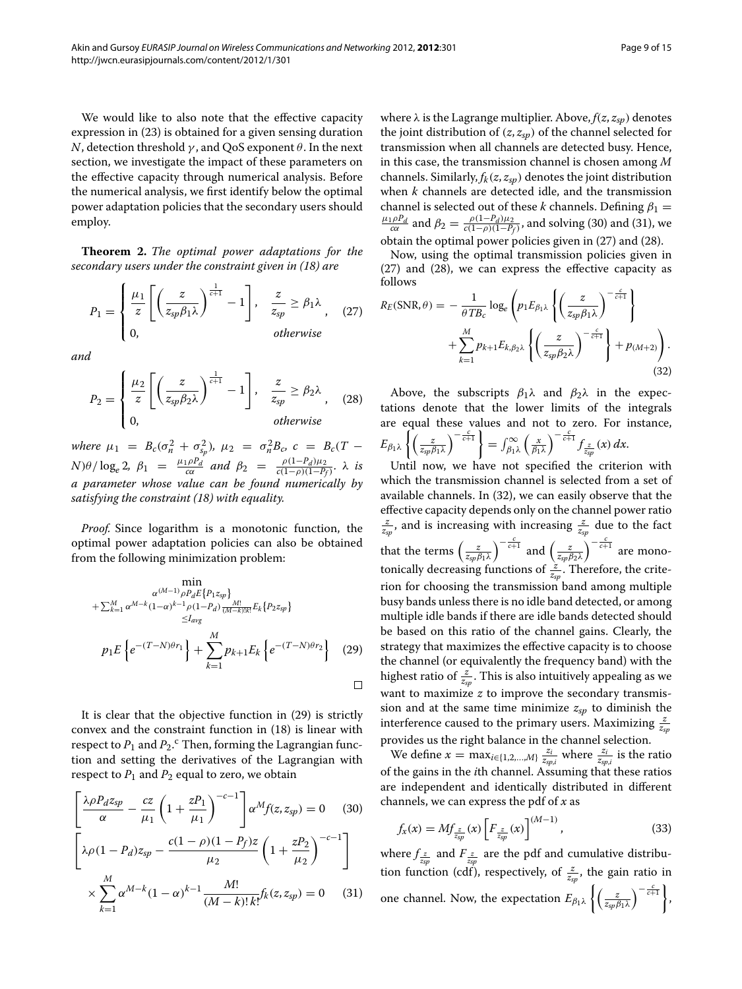We would like to also note that the effective capacity expression in [\(23\)](#page-7-0) is obtained for a given sensing duration *N*, detection threshold *γ* , and QoS exponent *θ*. In the next section, we investigate the impact of these parameters on the effective capacity through numerical analysis. Before the numerical analysis, we first identify below the optimal power adaptation policies that the secondary users should employ.

**Theorem 2.** *The optimal power adaptations for the secondary users under the constraint given in [\(18\)](#page-6-1) are*

$$
P_1 = \begin{cases} \frac{\mu_1}{z} \left[ \left( \frac{z}{z_{sp} \beta_1 \lambda} \right)^{\frac{1}{c+1}} - 1 \right], & \frac{z}{z_{sp}} \ge \beta_1 \lambda \\ 0, & \text{otherwise} \end{cases} \tag{27}
$$

*and*

<span id="page-8-4"></span>
$$
P_2 = \begin{cases} \frac{\mu_2}{z} \left[ \left( \frac{z}{z_{sp} \beta_2 \lambda} \right)^{\frac{1}{c+1}} - 1 \right], & \frac{z}{z_{sp}} \ge \beta_2 \lambda \\ 0, & \text{otherwise} \end{cases} \tag{28}
$$

*where*  $\mu_1 = B_c(\sigma_n^2 + \sigma_{s_p}^2)$ ,  $\mu_2 = \sigma_n^2 B_c$ ,  $c = B_c(T - \sigma_{s_p}^2)$  $N)\theta/\log_e 2$ ,  $\beta_1 = \frac{\mu_1 \rho P_d}{c\alpha}$  and  $\beta_2 = \frac{\rho(1-P_d)\mu_2}{c(1-\rho)(1-P_f)}$ .  $\lambda$  is *a parameter whose value can be found numerically by satisfying the constraint [\(18\)](#page-6-1) with equality.*

*Proof.* Since logarithm is a monotonic function, the optimal power adaptation policies can also be obtained from the following minimization problem:

$$
\min_{\alpha^{(M-1)} \rho_{d} E\{P_{1} z_{sp}\}} \n+ \sum_{k=1}^{M} \alpha^{M-k} (1-\alpha)^{k-1} \rho (1-P_{d}) \frac{M!}{(M-k)!k!} E_{k} \{P_{2} z_{sp}\}\n\leq I_{avg}\n\tag{29}
$$
\n
$$
p_{1} E\left\{e^{-(T-N)\theta r_{1}}\right\} + \sum_{k=1}^{M} p_{k+1} E_{k} \left\{e^{-(T-N)\theta r_{2}}\right\}
$$

It is clear that the objective function in [\(29\)](#page-8-0) is strictly convex and the constraint function in [\(18\)](#page-6-1) is linear with respect to  $P_1$  and  $P_2$ .<sup>c</sup> Then, forming the Lagrangian function and setting the derivatives of the Lagrangian with respect to  $P_1$  and  $P_2$  equal to zero, we obtain

$$
\left[\frac{\lambda \rho P_d z_{sp}}{\alpha} - \frac{cz}{\mu_1} \left(1 + \frac{z P_1}{\mu_1}\right)^{-c-1}\right] \alpha^M f(z, z_{sp}) = 0 \quad (30)
$$

$$
\left[\lambda \rho (1 - P_d) z_{sp} - \frac{c(1 - \rho)(1 - P_f)z}{\mu_2} \left(1 + \frac{z P_2}{\mu_2}\right)^{-c-1}\right]
$$

$$
\times \sum_{k=1}^M \alpha^{M-k} (1 - \alpha)^{k-1} \frac{M!}{(M-k)! \, k!} f_k(z, z_{sp}) = 0 \quad (31)
$$

where *λ* is the Lagrange multiplier. Above, *f(z*, *zsp)* denotes the joint distribution of *(z*, *zsp)* of the channel selected for transmission when all channels are detected busy. Hence, in this case, the transmission channel is chosen among *M* channels. Similarly,  $f_k(z, z_{sp})$  denotes the joint distribution when *k* channels are detected idle, and the transmission channel is selected out of these *k* channels. Defining  $\beta_1 = \frac{\mu_1 \rho P_d}{c\alpha}$  and  $\beta_2 = \frac{\rho (1 - P_d)\mu_2}{c(1 - \rho)(1 - P_f)}$ , and solving [\(30\)](#page-8-1) and [\(31\)](#page-8-2), we obtain the optimal power policies given in [\(27\)](#page-8-3) and [\(28\)](#page-8-4).

<span id="page-8-3"></span>Now, using the optimal transmission policies given in [\(27\)](#page-8-3) and [\(28\)](#page-8-4), we can express the effective capacity as follows

$$
R_E(\text{SNR}, \theta) = -\frac{1}{\theta T B_c} \log_e \left( p_1 E_{\beta_1 \lambda} \left\{ \left( \frac{z}{z_{sp} \beta_1 \lambda} \right)^{-\frac{c}{c+1}} \right\} + \sum_{k=1}^M p_{k+1} E_{k, \beta_2 \lambda} \left\{ \left( \frac{z}{z_{sp} \beta_2 \lambda} \right)^{-\frac{c}{c+1}} \right\} + p_{(M+2)} \right). \tag{32}
$$

<span id="page-8-5"></span>Above, the subscripts  $β_1λ$  and  $β_2λ$  in the expectations denote that the lower limits of the integrals are equal these values and not to zero. For instance,

$$
E_{\beta_1\lambda}\left\{\left(\frac{z}{z_{sp}\beta_1\lambda}\right)^{-\frac{c}{c+1}}\right\} = \int_{\beta_1\lambda}^{\infty} \left(\frac{x}{\beta_1\lambda}\right)^{-\frac{c}{c+1}} f_{\frac{z}{z_{sp}}}(x) dx.
$$
  
Until now we have not specified the criteria

Until now, we have not specified the criterion with which the transmission channel is selected from a set of available channels. In [\(32\)](#page-8-5), we can easily observe that the effective capacity depends only on the channel power ratio  $\frac{z}{z_{sp}}$ , and is increasing with increasing  $\frac{z}{z_{sp}}$  due to the fact that the terms  $\left(\frac{z}{z_{sp}\beta_1\lambda}\right)^{-\frac{c}{c+1}}$  and  $\left(\frac{z}{z_{sp}\beta_2\lambda}\right)^{-\frac{c}{c+1}}$  are monotonically decreasing functions of  $\frac{z}{z_{sp}}$ . Therefore, the criterion for choosing the transmission band among multiple busy bands unless there is no idle band detected, or among multiple idle bands if there are idle bands detected should be based on this ratio of the channel gains. Clearly, the strategy that maximizes the effective capacity is to choose the channel (or equivalently the frequency band) with the highest ratio of  $\frac{z}{z_{sp}}$ . This is also intuitively appealing as we want to maximize *z* to improve the secondary transmission and at the same time minimize *zsp* to diminish the interference caused to the primary users. Maximizing  $\frac{z}{z_{sp}}$ provides us the right balance in the channel selection.

<span id="page-8-0"></span>We define  $x = \max_{i \in \{1, 2, ..., M\}} \frac{z_i}{z_{sp,i}}$  where  $\frac{z_i}{z_{sp,i}}$  is the ratio of the gains in the *i*th channel. Assuming that these ratios are independent and identically distributed in different channels, we can express the pdf of *x* as

<span id="page-8-6"></span><span id="page-8-1"></span>
$$
f_x(x) = M f_{\frac{z}{z_{sp}}}(x) \left[ F_{\frac{z}{z_{sp}}}(x) \right]^{(M-1)}, \tag{33}
$$

<span id="page-8-2"></span>where  $f_{z_{sp}}^{\underline{z}}$  and  $F_{\overline{z_{sp}}}$  are the pdf and cumulative distribution function (cdf<sup>'</sup>), respectively, of  $\frac{z}{z_{sp}}$ , the gain ratio in one channel. Now, the expectation  $E_{\beta_1\lambda} \left\{ \left( \frac{z}{z_{sp}\beta_1\lambda} \right)^{-\frac{c}{c+1}} \right\},$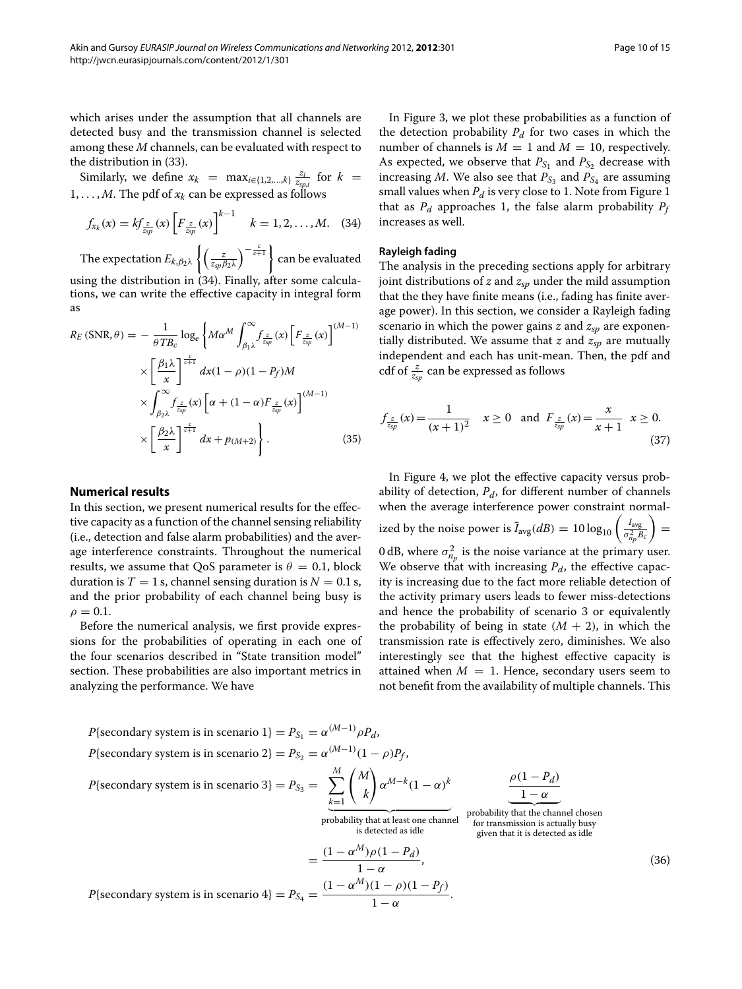which arises under the assumption that all channels are detected busy and the transmission channel is selected among these *M* channels, can be evaluated with respect to the distribution in [\(33\)](#page-8-6).

Similarly, we define  $x_k$  = max<sub>*i*∈{1,2,...,*k*}  $\frac{z_i}{z_{sp,i}}$  for  $k$  =</sub>  $1, \ldots, M$ . The pdf of  $x_k$  can be expressed as follows

$$
f_{x_k}(x) = k f_{\frac{z}{z_{sp}}}(x) \left[ F_{\frac{z}{z_{sp}}}(x) \right]^{k-1} \quad k = 1, 2, ..., M. \quad (34)
$$

The expectation  $E_{k,\beta_2\lambda} \left\{ \left( \frac{z}{z_{sp}\beta_2\lambda} \right)^{-\frac{c}{c+1}} \right\}$  can be evaluated using the distribution in  $(34)$ . Finally, after some calculations, we can write the effective capacity in integral form

as  
\n
$$
R_E \text{(SNR, } \theta) = -\frac{1}{\theta T B_c} \log_e \left\{ M \alpha^M \int_{\beta_1 \lambda}^{\infty} f_{\frac{z}{z_{sp}}} (x) \left[ F_{\frac{z}{z_{sp}}} (x) \right]^{(M-1)} \times \left[ \frac{\beta_1 \lambda}{x} \right]^{\frac{c}{c+1}} dx (1 - \rho)(1 - P_f) M \times \int_{\beta_2 \lambda}^{\infty} f_{\frac{z}{z_{sp}}} (x) \left[ \alpha + (1 - \alpha) F_{\frac{z}{z_{sp}}} (x) \right]^{(M-1)} \times \left[ \frac{\beta_2 \lambda}{x} \right]^{\frac{c}{c+1}} dx + p_{(M+2)} \right\}.
$$
\n(35)

<span id="page-9-0"></span>**Numerical results**

*x*

In this section, we present numerical results for the effective capacity as a function of the channel sensing reliability (i.e., detection and false alarm probabilities) and the average interference constraints. Throughout the numerical results, we assume that QoS parameter is  $\theta = 0.1$ , block duration is  $T = 1$  s, channel sensing duration is  $N = 0.1$  s, and the prior probability of each channel being busy is  $\rho = 0.1$ .

Before the numerical analysis, we first provide expressions for the probabilities of operating in each one of the four scenarios described in ["State transition model"](#page-3-0) section. These probabilities are also important metrics in analyzing the performance. We have

In Figure [3,](#page-10-0) we plot these probabilities as a function of the detection probability  $P_d$  for two cases in which the number of channels is  $M = 1$  and  $M = 10$ , respectively. As expected, we observe that  $P_{S_1}$  and  $P_{S_2}$  decrease with increasing *M*. We also see that  $P_{S_3}$  and  $P_{S_4}$  are assuming small values when  $P_d$  is very close to [1](#page-3-1). Note from Figure 1 that as  $P_d$  approaches 1, the false alarm probability  $P_f$ increases as well.

## <span id="page-9-1"></span>**Rayleigh fading**

The analysis in the preceding sections apply for arbitrary joint distributions of  $z$  and  $z_{sn}$  under the mild assumption that the they have finite means (i.e., fading has finite average power). In this section, we consider a Rayleigh fading scenario in which the power gains *z* and *zsp* are exponentially distributed. We assume that *z* and *zsp* are mutually independent and each has unit-mean. Then, the pdf and cdf of  $\frac{z}{z_{sp}}$  can be expressed as follows

$$
f_{\frac{z}{z_{sp}}}(x) = \frac{1}{(x+1)^2} \quad x \ge 0 \quad \text{and} \quad F_{\frac{z}{z_{sp}}}(x) = \frac{x}{x+1} \quad x \ge 0. \tag{37}
$$

<span id="page-9-2"></span>In Figure [4,](#page-10-1) we plot the effective capacity versus probability of detection, *Pd*, for different number of channels when the average interference power constraint normalized by the noise power is  $\bar{I}_{\text{avg}}(dB) = 10 \log_{10} \left( \frac{I_{\text{avg}}}{\sigma_{np}^2 B_c} \right)$  $\setminus$ = 0 dB, where  $\sigma_{n_p}^2$  is the noise variance at the primary user. We observe that with increasing  $P_d$ , the effective capacity is increasing due to the fact more reliable detection of the activity primary users leads to fewer miss-detections and hence the probability of scenario 3 or equivalently the probability of being in state  $(M + 2)$ , in which the transmission rate is effectively zero, diminishes. We also interestingly see that the highest effective capacity is attained when  $M = 1$ . Hence, secondary users seem to not benefit from the availability of multiple channels. This

P{secondary system is in scenario 1} = 
$$
P_{S_1} = \alpha^{(M-1)} \rho P_d
$$
,  
\nP{secondary system is in scenario 2} =  $P_{S_2} = \alpha^{(M-1)} (1 - \rho) P_f$ ,  
\nP{secondary system is in scenario 3} =  $P_{S_3} = \sum_{\substack{k=1 \ k \text{ odd}}}^{M} {M \choose k} \alpha^{M-k} (1 - \alpha)^k$   
\nprobability that at least one channel  
\nprobability that at least one channel  
\nis detected as idle  
\n
$$
= \frac{(1 - \alpha^M) \rho (1 - P_d)}{1 - \alpha},
$$
\n(36)

*P*{secondary system is in scenario  $4$ } = *P<sub>S<sub>4</sub>*</sub> =  $\frac{1}{2}$  $1 - \alpha$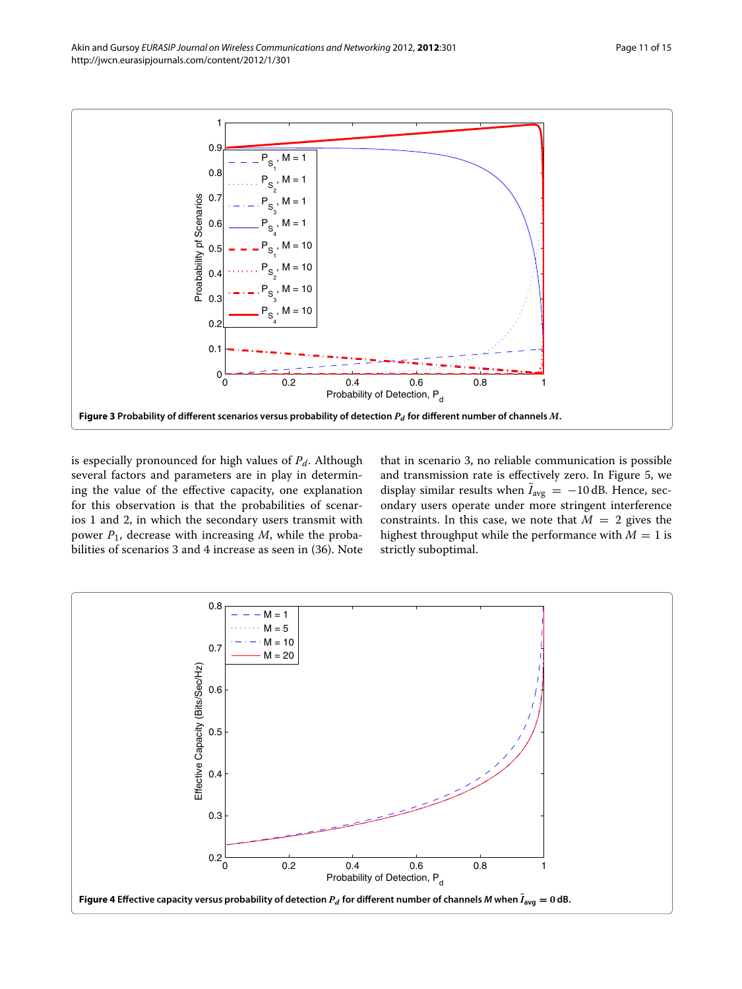is especially pronounced for high values of *Pd*. Although several factors and parameters are in play in determining the value of the effective capacity, one explanation for this observation is that the probabilities of scenarios 1 and 2, in which the secondary users transmit with power  $P_1$ , decrease with increasing  $M$ , while the probabilities of scenarios 3 and 4 increase as seen in [\(36\)](#page-9-2). Note

 $0^{L}_{0}$ 

0.1  $0.2$ 

 $0.$ 

 $0.4$ 

0.5

Proabability pf Scenarios

Proabability pf Scenarios

 $0.6$ 0.7 0.8

 $0.9$ 1

> that in scenario 3, no reliable communication is possible and transmission rate is effectively zero. In Figure [5,](#page-11-0) we display similar results when  $\bar{I}_{\text{avg}} = -10$  dB. Hence, secondary users operate under more stringent interference constraints. In this case, we note that  $M = 2$  gives the highest throughput while the performance with  $M = 1$  is strictly suboptimal.

<span id="page-10-1"></span>

0 0.2 0.4 0.6 0.8 1

Probability of Detection,  $P_d$ 

 $P_{\mathcal{S}_{1}}$  $M = 1$ 

 $P_{\mathcal{S}_{2}}^{+}$ 

 $\mathsf{P}_{\mathsf{S}_{\mathsf{3}}}$ , M = 1

 $P_{\mathcal{S}_{4}^+}$ , M = 1

 $P_{\mathcal{S}_{1}}$ 

 $P_{\mathcal{S}_2}$ 

 $P_{\mathcal{S}^{1}_{3}}$ 

 $P_{\mathcal{S}_4}$ 

 $= 1$ 

, M = 10

 $= 10$ 

 $M = 10$ 

 $10$ 

<span id="page-10-0"></span>**Figure 3** Probability of different scenarios versus probability of detection  $P_d$  for different number of channels  $M$ **.**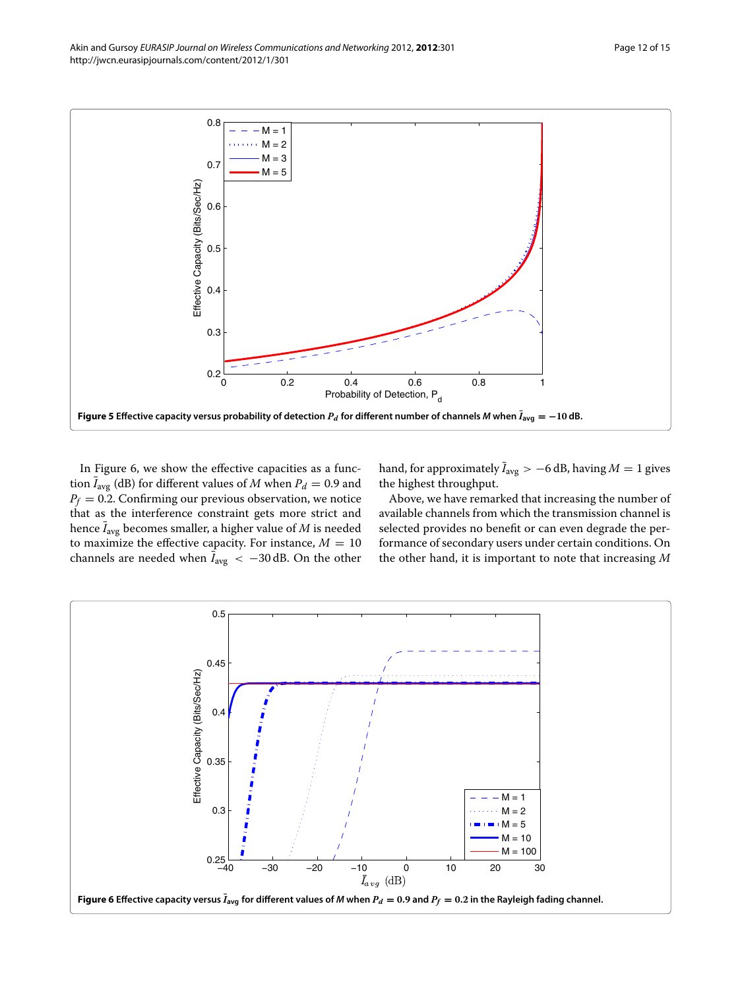

<span id="page-11-0"></span>In Figure [6,](#page-11-1) we show the effective capacities as a function  $\bar{I}_{\text{avg}}$  (dB) for different values of *M* when  $P_d = 0.9$  and  $P_f = 0.2$ . Confirming our previous observation, we notice that as the interference constraint gets more strict and hence  $\bar{I}_{\text{avg}}$  becomes smaller, a higher value of *M* is needed to maximize the effective capacity. For instance,  $M = 10$ channels are needed when  $\bar{I}_{\text{avg}} < -30$  dB. On the other

hand, for approximately  $\bar{I}_{\text{avg}} > -6$  dB, having  $M = 1$  gives the highest throughput.

Above, we have remarked that increasing the number of available channels from which the transmission channel is selected provides no benefit or can even degrade the performance of secondary users under certain conditions. On the other hand, it is important to note that increasing *M*

<span id="page-11-1"></span>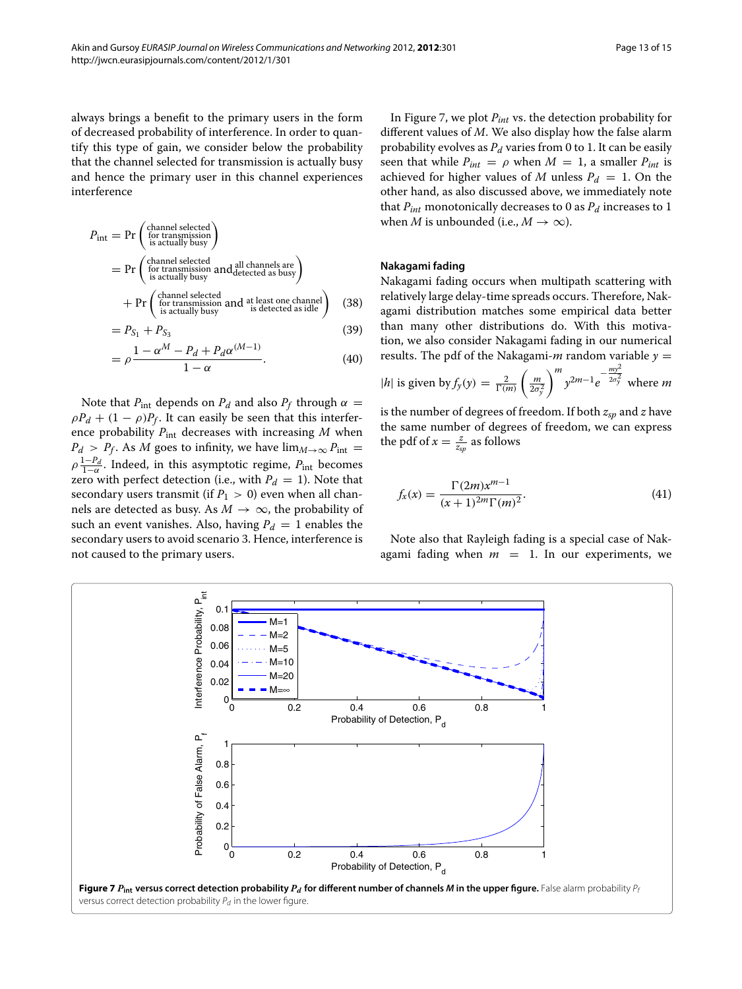always brings a benefit to the primary users in the form of decreased probability of interference. In order to quantify this type of gain, we consider below the probability that the channel selected for transmission is actually busy and hence the primary user in this channel experiences interference

$$
P_{int} = Pr \left( \begin{array}{c} \text{channel selected} \\ \text{for transmission} \\ \text{is actually busy} \end{array} \right)
$$
  
= Pr \left( \begin{array}{c} \text{channel selected} \\ \text{for transmission and all channels are} \\ \text{is actually busy} \end{array} \right) + Pr \left( \begin{array}{c} \text{channel selected} \\ \text{for transmission and the test one channel} \\ \text{is actually busy} \end{array} \right) (38)

$$
= P_{S_1} + P_{S_3} \tag{39}
$$

$$
= \rho \frac{1 - \alpha^M - P_d + P_d \alpha^{(M-1)}}{1 - \alpha}.
$$
\n<sup>(40)</sup>

Note that  $P_{int}$  depends on  $P_d$  and also  $P_f$  through  $\alpha =$  $\rho P_d + (1 - \rho)P_f$ . It can easily be seen that this interference probability *P*int decreases with increasing *M* when  $P_d$  >  $P_f$ . As *M* goes to infinity, we have  $\lim_{M\to\infty} P_{int}$  =  $\rho \frac{1-P_d}{1-\alpha}$ . Indeed, in this asymptotic regime, *P*<sub>int</sub> becomes zero with perfect detection (i.e., with  $P_d = 1$ ). Note that secondary users transmit (if  $P_1 > 0$ ) even when all channels are detected as busy. As  $M \to \infty$ , the probability of such an event vanishes. Also, having  $P_d = 1$  enables the secondary users to avoid scenario 3. Hence, interference is not caused to the primary users.

In Figure [7,](#page-12-0) we plot *Pint* vs. the detection probability for different values of *M*. We also display how the false alarm probability evolves as  $P_d$  varies from 0 to 1. It can be easily seen that while  $P_{int} = \rho$  when  $M = 1$ , a smaller  $P_{int}$  is achieved for higher values of *M* unless  $P_d = 1$ . On the other hand, as also discussed above, we immediately note that  $P_{int}$  monotonically decreases to 0 as  $P_d$  increases to 1 when *M* is unbounded (i.e.,  $M \rightarrow \infty$ ).

## **Nakagami fading**

Nakagami fading occurs when multipath scattering with relatively large delay-time spreads occurs. Therefore, Nakagami distribution matches some empirical data better than many other distributions do. With this motivation, we also consider Nakagami fading in our numerical results. The pdf of the Nakagami-*m* random variable  $y =$ |*h*| is given by  $f_y(y) = \frac{2}{\Gamma(m)} \left( \frac{m}{2\sigma^2} \right)$  $2\sigma_y^2$  $\int_{0}^{m} y^{2m-1} e^{-\frac{my^2}{2\sigma_y^2}}$  where *m* 

is the number of degrees of freedom. If both *zsp* and *z* have the same number of degrees of freedom, we can express the pdf of  $x = \frac{z}{z_{sp}}$  as follows

$$
f_x(x) = \frac{\Gamma(2m)x^{m-1}}{(x+1)^{2m}\Gamma(m)^2}.
$$
 (41)

Note also that Rayleigh fading is a special case of Nakagami fading when  $m = 1$ . In our experiments, we

<span id="page-12-0"></span>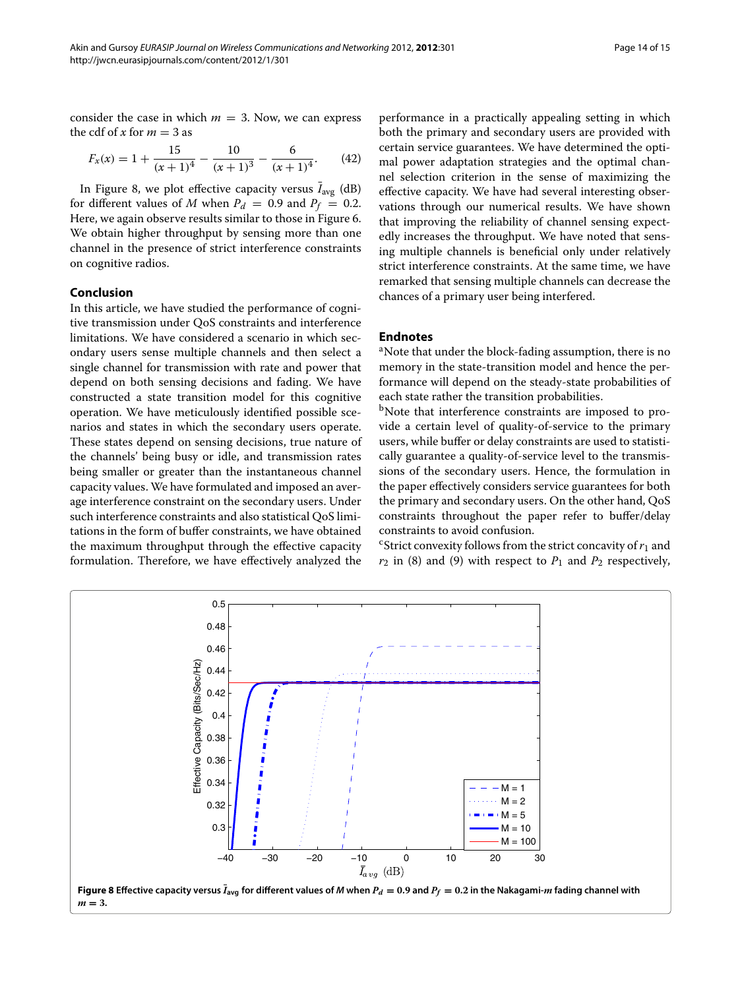consider the case in which  $m = 3$ . Now, we can express the cdf of *x* for  $m = 3$  as

$$
F_x(x) = 1 + \frac{15}{(x+1)^4} - \frac{10}{(x+1)^3} - \frac{6}{(x+1)^4}.
$$
 (42)

In Figure [8,](#page-13-1) we plot effective capacity versus  $\bar{I}_{\text{avg}}$  (dB) for different values of *M* when  $P_d = 0.9$  and  $P_f = 0.2$ . Here, we again observe results similar to those in Figure [6.](#page-11-1) We obtain higher throughput by sensing more than one channel in the presence of strict interference constraints on cognitive radios.

## <span id="page-13-0"></span>**Conclusion**

In this article, we have studied the performance of cognitive transmission under QoS constraints and interference limitations. We have considered a scenario in which secondary users sense multiple channels and then select a single channel for transmission with rate and power that depend on both sensing decisions and fading. We have constructed a state transition model for this cognitive operation. We have meticulously identified possible scenarios and states in which the secondary users operate. These states depend on sensing decisions, true nature of the channels' being busy or idle, and transmission rates being smaller or greater than the instantaneous channel capacity values. We have formulated and imposed an average interference constraint on the secondary users. Under such interference constraints and also statistical QoS limitations in the form of buffer constraints, we have obtained the maximum throughput through the effective capacity formulation. Therefore, we have effectively analyzed the performance in a practically appealing setting in which both the primary and secondary users are provided with certain service guarantees. We have determined the optimal power adaptation strategies and the optimal channel selection criterion in the sense of maximizing the effective capacity. We have had several interesting observations through our numerical results. We have shown that improving the reliability of channel sensing expectedly increases the throughput. We have noted that sensing multiple channels is beneficial only under relatively strict interference constraints. At the same time, we have remarked that sensing multiple channels can decrease the chances of a primary user being interfered.

## **Endnotes**

<sup>a</sup>Note that under the block-fading assumption, there is no memory in the state-transition model and hence the performance will depend on the steady-state probabilities of each state rather the transition probabilities.

<sup>b</sup>Note that interference constraints are imposed to provide a certain level of quality-of-service to the primary users, while buffer or delay constraints are used to statistically guarantee a quality-of-service level to the transmissions of the secondary users. Hence, the formulation in the paper effectively considers service guarantees for both the primary and secondary users. On the other hand, QoS constraints throughout the paper refer to buffer/delay constraints to avoid confusion.

<sup>c</sup>Strict convexity follows from the strict concavity of  $r_1$  and  $r_2$  in [\(8\)](#page-4-1) and [\(9\)](#page-4-2) with respect to  $P_1$  and  $P_2$  respectively,

<span id="page-13-1"></span>